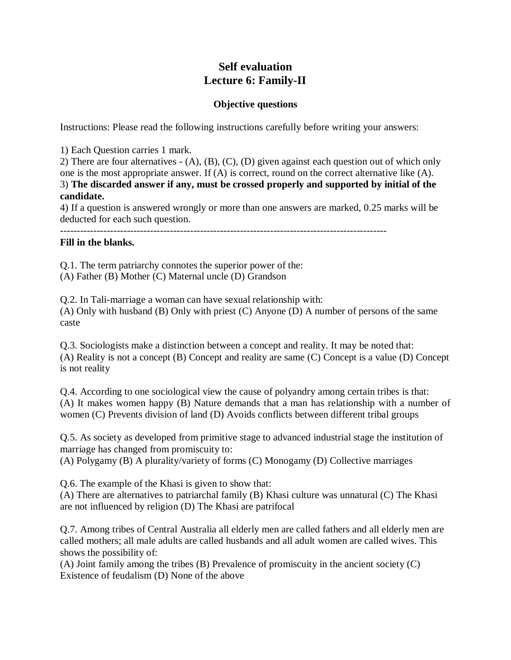# **Self evaluation Lecture 6: Family-II**

# **Objective questions**

Instructions: Please read the following instructions carefully before writing your answers:

1) Each Question carries 1 mark.

2) There are four alternatives - (A), (B), (C), (D) given against each question out of which only one is the most appropriate answer. If (A) is correct, round on the correct alternative like (A). 3) **The discarded answer if any, must be crossed properly and supported by initial of the candidate.**

4) If a question is answered wrongly or more than one answers are marked, 0.25 marks will be deducted for each such question.

--------------------------------------------------------------------------------------------------

## **Fill in the blanks.**

Q.1. The term patriarchy connotes the superior power of the: (A) Father (B) Mother (C) Maternal uncle (D) Grandson

Q.2. In Tali-marriage a woman can have sexual relationship with: (A) Only with husband (B) Only with priest (C) Anyone (D) A number of persons of the same caste

Q.3. Sociologists make a distinction between a concept and reality. It may be noted that: (A) Reality is not a concept (B) Concept and reality are same (C) Concept is a value (D) Concept is not reality

Q.4. According to one sociological view the cause of polyandry among certain tribes is that: (A) It makes women happy (B) Nature demands that a man has relationship with a number of women (C) Prevents division of land (D) Avoids conflicts between different tribal groups

Q.5. As society as developed from primitive stage to advanced industrial stage the institution of marriage has changed from promiscuity to:

(A) Polygamy (B) A plurality/variety of forms (C) Monogamy (D) Collective marriages

Q.6. The example of the Khasi is given to show that:

(A) There are alternatives to patriarchal family (B) Khasi culture was unnatural (C) The Khasi are not influenced by religion (D) The Khasi are patrifocal

Q.7. Among tribes of Central Australia all elderly men are called fathers and all elderly men are called mothers; all male adults are called husbands and all adult women are called wives. This shows the possibility of:

(A) Joint family among the tribes (B) Prevalence of promiscuity in the ancient society (C) Existence of feudalism (D) None of the above